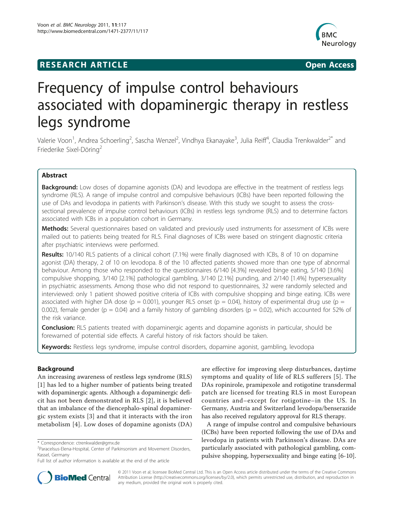## **RESEARCH ARTICLE Example 2014 CONSUMING ACCESS**



# Frequency of impulse control behaviours associated with dopaminergic therapy in restless legs syndrome

Valerie Voon<sup>1</sup>, Andrea Schoerling<sup>2</sup>, Sascha Wenzel<sup>2</sup>, Vindhya Ekanayake<sup>3</sup>, Julia Reiff<sup>4</sup>, Claudia Trenkwalder<sup>2\*</sup> and Friederike Sixel-Döring<sup>2</sup>

## Abstract

**Background:** Low doses of dopamine agonists (DA) and levodopa are effective in the treatment of restless legs syndrome (RLS). A range of impulse control and compulsive behaviours (ICBs) have been reported following the use of DAs and levodopa in patients with Parkinson's disease. With this study we sought to assess the crosssectional prevalence of impulse control behaviours (ICBs) in restless legs syndrome (RLS) and to determine factors associated with ICBs in a population cohort in Germany.

**Methods:** Several questionnaires based on validated and previously used instruments for assessment of ICBs were mailed out to patients being treated for RLS. Final diagnoses of ICBs were based on stringent diagnostic criteria after psychiatric interviews were performed.

Results: 10/140 RLS patients of a clinical cohort (7.1%) were finally diagnosed with ICBs, 8 of 10 on dopamine agonist (DA) therapy, 2 of 10 on levodopa. 8 of the 10 affected patients showed more than one type of abnormal behaviour. Among those who responded to the questionnaires 6/140 [4.3%] revealed binge eating, 5/140 [3.6%] compulsive shopping, 3/140 [2.1%] pathological gambling, 3/140 [2.1%] punding, and 2/140 [1.4%] hypersexuality in psychiatric assessments. Among those who did not respond to questionnaires, 32 were randomly selected and interviewed: only 1 patient showed positive criteria of ICBs with compulsive shopping and binge eating. ICBs were associated with higher DA dose (p = 0.001), younger RLS onset (p = 0.04), history of experimental drug use (p = 0.002), female gender (p = 0.04) and a family history of gambling disorders (p = 0.02), which accounted for 52% of the risk variance.

**Conclusion:** RLS patients treated with dopaminergic agents and dopamine agonists in particular, should be forewarned of potential side effects. A careful history of risk factors should be taken.

Keywords: Restless legs syndrome, impulse control disorders, dopamine agonist, gambling, levodopa

## Background

An increasing awareness of restless legs syndrome (RLS) [[1](#page-4-0)] has led to a higher number of patients being treated with dopaminergic agents. Although a dopaminergic deficit has not been demonstrated in RLS [[2\]](#page-4-0), it is believed that an imbalance of the diencephalo-spinal dopaminergic system exists [[3\]](#page-4-0) and that it interacts with the iron metabolism [[4](#page-4-0)]. Low doses of dopamine agonists (DA)

are effective for improving sleep disturbances, daytime symptoms and quality of life of RLS sufferers [[5\]](#page-5-0). The DAs ropinirole, pramipexole and rotigotine transdermal patch are licensed for treating RLS in most European countries and–except for rotigotine–in the US. In Germany, Austria and Switzerland levodopa/benserazide has also received regulatory approval for RLS therapy.

A range of impulse control and compulsive behaviours (ICBs) have been reported following the use of DAs and levodopa in patients with Parkinson's disease. DAs are particularly associated with pathological gambling, compulsive shopping, hypersexuality and binge eating [[6-10](#page-5-0)].



© 2011 Voon et al; licensee BioMed Central Ltd. This is an Open Access article distributed under the terms of the Creative Commons Attribution License [\(http://creativecommons.org/licenses/by/2.0](http://creativecommons.org/licenses/by/2.0)), which permits unrestricted use, distribution, and reproduction in any medium, provided the original work is properly cited.

<sup>\*</sup> Correspondence: [ctrenkwalder@gmx.de](mailto:ctrenkwalder@gmx.de)

<sup>2</sup> Paracelsus-Elena-Hospital, Center of Parkinsonism and Movement Disorders, Kassel, Germany

Full list of author information is available at the end of the article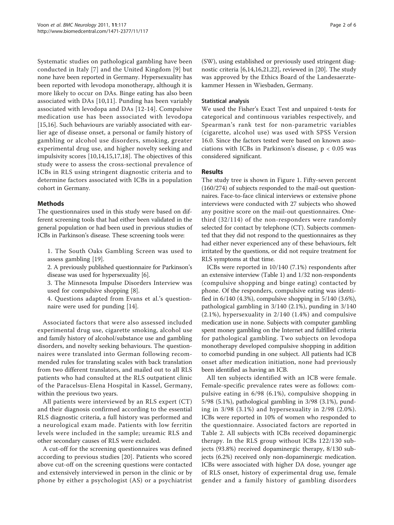Systematic studies on pathological gambling have been conducted in Italy [[7\]](#page-5-0) and the United Kingdom [[9](#page-5-0)] but none have been reported in Germany. Hypersexuality has been reported with levodopa monotherapy, although it is more likely to occur on DAs. Binge eating has also been associated with DAs [[10,11](#page-5-0)]. Punding has been variably associated with levodopa and DAs [[12](#page-5-0)-[14](#page-5-0)]. Compulsive medication use has been associated with levodopa [[15,16\]](#page-5-0). Such behaviours are variably associated with earlier age of disease onset, a personal or family history of gambling or alcohol use disorders, smoking, greater experimental drug use, and higher novelty seeking and impulsivity scores [\[10,14,15,17,18](#page-5-0)]. The objectives of this study were to assess the cross-sectional prevalence of ICBs in RLS using stringent diagnostic criteria and to determine factors associated with ICBs in a population cohort in Germany.

## **Methods**

The questionnaires used in this study were based on different screening tools that had either been validated in the general population or had been used in previous studies of ICBs in Parkinson's disease. These screening tools were:

1. The South Oaks Gambling Screen was used to assess gambling [[19](#page-5-0)].

2. A previously published questionnaire for Parkinson's disease was used for hypersexuality [[6\]](#page-5-0).

3. The Minnesota Impulse Disorders Interview was used for compulsive shopping [[8\]](#page-5-0).

4. Questions adapted from Evans et al.'s questionnaire were used for punding [\[14](#page-5-0)].

Associated factors that were also assessed included experimental drug use, cigarette smoking, alcohol use and family history of alcohol/substance use and gambling disorders, and novelty seeking behaviours. The questionnaires were translated into German following recommended rules for translating scales with back translation from two different translators, and mailed out to all RLS patients who had consulted at the RLS outpatient clinic of the Paracelsus-Elena Hospital in Kassel, Germany, within the previous two years.

All patients were interviewed by an RLS expert (CT) and their diagnosis confirmed according to the essential RLS diagnostic criteria, a full history was performed and a neurological exam made. Patients with low ferritin levels were included in the sample; ureamic RLS and other secondary causes of RLS were excluded.

A cut-off for the screening questionnaires was defined according to previous studies [[20](#page-5-0)]. Patients who scored above cut-off on the screening questions were contacted and extensively interviewed in person in the clinic or by phone by either a psychologist (AS) or a psychiatrist Page 2 of 6

(SW), using established or previously used stringent diagnostic criteria [[6,14](#page-5-0),[16](#page-5-0),[21,22](#page-5-0)], reviewed in [[20\]](#page-5-0). The study was approved by the Ethics Board of the Landesaerztekammer Hessen in Wiesbaden, Germany.

## Statistical analysis

We used the Fisher's Exact Test and unpaired t-tests for categorical and continuous variables respectively, and Spearman's rank test for non-parametric variables (cigarette, alcohol use) was used with SPSS Version 16.0. Since the factors tested were based on known associations with ICBs in Parkinson's disease, p < 0.05 was considered significant.

## Results

The study tree is shown in Figure [1.](#page-2-0) Fifty-seven percent (160/274) of subjects responded to the mail-out questionnaires. Face-to-face clinical interviews or extensive phone interviews were conducted with 27 subjects who showed any positive score on the mail-out questionnaires. Onethird (32/114) of the non-responders were randomly selected for contact by telephone (CT). Subjects commented that they did not respond to the questionnaires as they had either never experienced any of these behaviours, felt irritated by the questions, or did not require treatment for RLS symptoms at that time.

ICBs were reported in 10/140 (7.1%) respondents after an extensive interview (Table [1\)](#page-2-0) and 1/32 non-respondents (compulsive shopping and binge eating) contacted by phone. Of the responders, compulsive eating was identified in 6/140 (4.3%), compulsive shopping in 5/140 (3.6%), pathological gambling in 3/140 (2.1%), punding in 3/140 (2.1%), hypersexuality in 2/140 (1.4%) and compulsive medication use in none. Subjects with computer gambling spent money gambling on the Internet and fulfilled criteria for pathological gambling. Two subjects on levodopa monotherapy developed compulsive shopping in addition to comorbid punding in one subject. All patients had ICB onset after medication initiation, none had previously been identified as having an ICB.

All ten subjects identified with an ICB were female. Female-specific prevalence rates were as follows: compulsive eating in 6/98 (6.1%), compulsive shopping in 5/98 (5.1%), pathological gambling in 3/98 (3.1%), punding in 3/98 (3.1%) and hypersexuality in 2/98 (2.0%). ICBs were reported in 10% of women who responded to the questionnaire. Associated factors are reported in Table [2](#page-3-0). All subjects with ICBs received dopaminergic therapy. In the RLS group without ICBs 122/130 subjects (93.8%) received dopaminergic therapy, 8/130 subjects (6.2%) received only non-dopaminergic medication. ICBs were associated with higher DA dose, younger age of RLS onset, history of experimental drug use, female gender and a family history of gambling disorders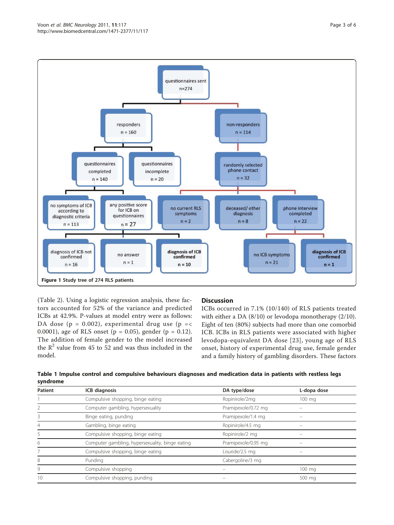<span id="page-2-0"></span>

(Table [2](#page-3-0)). Using a logistic regression analysis, these factors accounted for 52% of the variance and predicted ICBs at 42.9%. P-values at model entry were as follows: DA dose ( $p = 0.002$ ), experimental drug use ( $p =$ < 0.0001), age of RLS onset ( $p = 0.05$ ), gender ( $p = 0.12$ ). The addition of female gender to the model increased the  $R^2$  value from 45 to 52 and was thus included in the model.

## **Discussion**

ICBs occurred in 7.1% (10/140) of RLS patients treated with either a DA (8/10) or levodopa monotherapy (2/10). Eight of ten (80%) subjects had more than one comorbid ICB. ICBs in RLS patients were associated with higher levodopa-equivalent DA dose [[23](#page-5-0)], young age of RLS onset, history of experimental drug use, female gender and a family history of gambling disorders. These factors

| <b>Patient</b> | ICB diagnosis                                   | DA type/dose        | L-dopa dose |
|----------------|-------------------------------------------------|---------------------|-------------|
|                | Compulsive shopping, binge eating               | Ropinirole/2mg      | 100 mg      |
|                | Computer gambling, hypersexuality               | Pramipexole/0.72 mg |             |
|                | Binge eating, punding                           | Pramipexole/1.4 mg  |             |
| 4              | Gambling, binge eating                          | Ropinirole/4.5 mg   |             |
| 5              | Compulsive shopping, binge eating               | Ropinirole/2 mg     |             |
| 6              | Computer gambling, hypersexuality, binge eating | Pramipexole/0.95 mg |             |
|                | Compulsive shopping, binge eating               | Lisuride/2.5 mg     |             |
| 8              | Punding                                         | Cabergoline/3 mg    |             |
| 9              | Compulsive shopping                             |                     | 100 mg      |
| 10             | Compulsive shopping, punding                    |                     | 500 mg      |

Table 1 Impulse control and compulsive behaviours diagnoses and medication data in patients with restless legs syndrome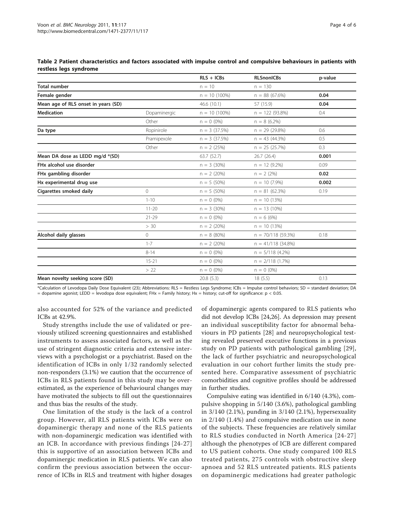|                                     |              | $RLS + ICBs$    | <b>RLSnonICBs</b>    | p-value |
|-------------------------------------|--------------|-----------------|----------------------|---------|
| <b>Total number</b>                 |              | $n = 10$        | $n = 130$            |         |
| Female gender                       |              | $n = 10(100\%)$ | $n = 88(67.6%)$      | 0.04    |
| Mean age of RLS onset in years (SD) |              | 46.6(10.1)      | 57 (15.9)            | 0.04    |
| <b>Medication</b>                   | Dopaminergic | $n = 10(100\%)$ | $n = 122(93.8\%)$    | 0.4     |
|                                     | Other        | $n = 0$ (0%)    | $n = 8(6.2\%)$       |         |
| Da type                             | Ropinirole   | $n = 3(37.5%)$  | $n = 29(29.8%)$      | 0.6     |
|                                     | Pramipexole  | $n = 3(37.5%)$  | $n = 43(44.3%)$      | 0.5     |
|                                     | Other        | $n = 2(25%)$    | $n = 25(25.7%)$      | 0.3     |
| Mean DA dose as LEDD mg/d *(SD)     |              | 63.7(52.7)      | 26.7(26.4)           | 0.001   |
| FHx alcohol use disorder            |              | $n = 3$ (30%)   | $n = 12(9.2\%)$      | 0.09    |
| FHx gambling disorder               |              | $n = 2 (20\%)$  | $n = 2(2\%)$         | 0.02    |
| Hx experimental drug use            |              | $n = 5(50\%)$   | $n = 10(7.9%)$       | 0.002   |
| Cigarettes smoked daily             | $\Omega$     | $n = 5(50\%)$   | $n = 81(62.3%)$      | 0.19    |
|                                     | $1 - 10$     | $n = 0$ (0%)    | $n = 10(13%)$        |         |
|                                     | $11 - 20$    | $n = 3$ (30%)   | $n = 13(10\%)$       |         |
|                                     | $21 - 29$    | $n = 0$ (0%)    | $n = 6(6%)$          |         |
|                                     | > 30         | $n = 2 (20\%)$  | $n = 10(13%)$        |         |
| Alcohol daily glasses               | $\Omega$     | $n = 8(80%)$    | $n = 70/118(59.3%)$  | 0.18    |
|                                     | $1 - 7$      | $n = 2$ (20%)   | $n = 41/118(34.8\%)$ |         |
|                                     | $8 - 14$     | $n = 0$ (0%)    | $n = 5/118(4.2\%)$   |         |
|                                     | $15 - 21$    | $n = 0$ (0%)    | $n = 2/118(1.7%)$    |         |
|                                     | > 22         | $n = 0$ (0%)    | $n = 0$ (0%)         |         |
| Mean novelty seeking score (SD)     |              | 20.8(5.3)       | 18(5.5)              | 0.13    |

<span id="page-3-0"></span>Table 2 Patient characteristics and factors associated with impulse control and compulsive behaviours in patients with restless legs syndrome

\*Calculation of Levodopa Daily Dose Equivalent (23); Abbreviations: RLS = Restless Legs Syndrome; ICBs = Impulse control behaviors; SD = standard deviation; DA = dopamine agonist; LEDD = levodopa dose equivalent; FHx = Family history; Hx = history; cut-off for significance: p < 0.05.

also accounted for 52% of the variance and predicted ICBs at 42.9%.

Study strengths include the use of validated or previously utilized screening questionnaires and established instruments to assess associated factors, as well as the use of stringent diagnostic criteria and extensive interviews with a psychologist or a psychiatrist. Based on the identification of ICBs in only 1/32 randomly selected non-responders (3.1%) we caution that the occurrence of ICBs in RLS patients found in this study may be overestimated, as the experience of behavioural changes may have motivated the subjects to fill out the questionnaires and thus bias the results of the study.

One limitation of the study is the lack of a control group. However, all RLS patients with ICBs were on dopaminergic therapy and none of the RLS patients with non-dopaminergic medication was identified with an ICB. In accordance with previous findings [[24](#page-5-0)-[27](#page-5-0)] this is supportive of an association between ICBs and dopaminergic medication in RLS patients. We can also confirm the previous association between the occurrence of ICBs in RLS and treatment with higher dosages

of dopaminergic agents compared to RLS patients who did not develop ICBs [[24,26\]](#page-5-0). As depression may present an individual susceptibility factor for abnormal behaviours in PD patients [[28](#page-5-0)] and neuropsychological testing revealed preserved executive functions in a previous study on PD patients with pathological gambling [[29](#page-5-0)], the lack of further psychiatric and neuropsychological evaluation in our cohort further limits the study presented here. Comparative assessment of psychiatric comorbidities and cognitive profiles should be addressed in further studies.

Compulsive eating was identified in 6/140 (4.3%), compulsive shopping in 5/140 (3.6%), pathological gambling in 3/140 (2.1%), punding in 3/140 (2.1%), hypersexuality in 2/140 (1.4%) and compulsive medication use in none of the subjects. These frequencies are relatively similar to RLS studies conducted in North America [[24-27](#page-5-0)] although the phenotypes of ICB are different compared to US patient cohorts. One study compared 100 RLS treated patients, 275 controls with obstructive sleep apnoea and 52 RLS untreated patients. RLS patients on dopaminergic medications had greater pathologic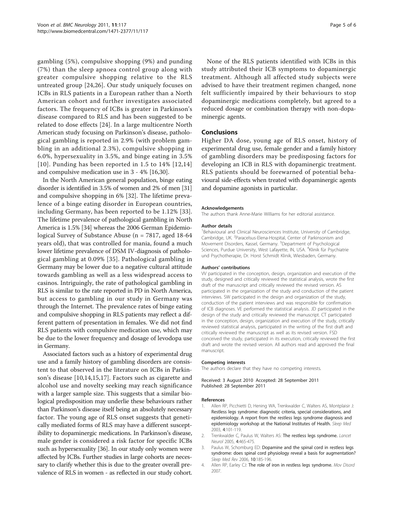<span id="page-4-0"></span>gambling (5%), compulsive shopping (9%) and punding (7%) than the sleep apnoea control group along with greater compulsive shopping relative to the RLS untreated group [[24,26](#page-5-0)]. Our study uniquely focuses on ICBs in RLS patients in a European rather than a North American cohort and further investigates associated factors. The frequency of ICBs is greater in Parkinson's disease compared to RLS and has been suggested to be related to dose effects [[24\]](#page-5-0). In a large multicentre North American study focusing on Parkinson's disease, pathological gambling is reported in 2.9% (with problem gambling in an additional 2.3%), compulsive shopping in 6.0%, hypersexuality in 3.5%, and binge eating in 3.5% [[10\]](#page-5-0). Punding has been reported in 1.5 to 14% [[12,14](#page-5-0)] and compulsive medication use in 3 - 4% [\[16,30\]](#page-5-0).

In the North American general population, binge eating disorder is identified in 3.5% of women and 2% of men [[31](#page-5-0)] and compulsive shopping in 6% [\[32](#page-5-0)]. The lifetime prevalence of a binge eating disorder in European countries, including Germany, has been reported to be 1.12% [[33](#page-5-0)]. The lifetime prevalence of pathological gambling in North America is 1.5% [\[34\]](#page-5-0) whereas the 2006 German Epidemiological Survey of Substance Abuse (n = 7817, aged 18-64 years old), that was controlled for mania, found a much lower lifetime prevalence of DSM IV-diagnosis of pathological gambling at 0.09% [[35](#page-5-0)]. Pathological gambling in Germany may be lower due to a negative cultural attitude towards gambling as well as a less widespread access to casinos. Intriguingly, the rate of pathological gambling in RLS is similar to the rate reported in PD in North America, but access to gambling in our study in Germany was through the Internet. The prevalence rates of binge eating and compulsive shopping in RLS patients may reflect a different pattern of presentation in females. We did not find RLS patients with compulsive medication use, which may be due to the lower frequency and dosage of levodopa use in Germany.

Associated factors such as a history of experimental drug use and a family history of gambling disorders are consistent to that observed in the literature on ICBs in Parkinson's disease [\[10](#page-5-0),[14](#page-5-0),[15,17\]](#page-5-0). Factors such as cigarette and alcohol use and novelty seeking may reach significance with a larger sample size. This suggests that a similar biological predisposition may underlie these behaviours rather than Parkinson's disease itself being an absolutely necessary factor. The young age of RLS onset suggests that genetically mediated forms of RLS may have a different susceptibility to dopaminergic medications. In Parkinson's disease, male gender is considered a risk factor for specific ICBs such as hypersexuality [[36](#page-5-0)]. In our study only women were affected by ICBs. Further studies in large cohorts are necessary to clarify whether this is due to the greater overall prevalence of RLS in women - as reflected in our study cohort.

None of the RLS patients identified with ICBs in this study attributed their ICB symptoms to dopaminergic treatment. Although all affected study subjects were advised to have their treatment regimen changed, none felt sufficiently impaired by their behaviours to stop dopaminergic medications completely, but agreed to a reduced dosage or combination therapy with non-dopaminergic agents.

## Conclusions

Higher DA dose, young age of RLS onset, history of experimental drug use, female gender and a family history of gambling disorders may be predisposing factors for developing an ICB in RLS with dopaminergic treatment. RLS patients should be forewarned of potential behavioural side-effects when treated with dopaminergic agents and dopamine agonists in particular.

#### Acknowledgements

The authors thank Anne-Marie Williams for her editorial assistance.

#### Author details

<sup>1</sup> Behavioural and Clinical Neurosciences Institute, University of Cambridge, Cambridge, UK. <sup>2</sup>Paracelsus-Elena-Hospital, Center of Parkinsonism and Movement Disorders, Kassel, Germany. <sup>3</sup>Department of Psychological Sciences, Purdue University, West Lafayette, IN, USA. <sup>4</sup>Klinik für Psychiatrie und Psychotherapie, Dr. Horst Schmidt Klinik, Wiesbaden, Germany.

#### Authors' contributions

VV participated in the conception, design, organization and execution of the study, designed and critically reviewed the statistical analysis, wrote the first draft of the manuscript and critically reviewed the revised version. AS participated in the organization of the study and conduction of the patient interviews. SW participated in the design and organization of the study, conduction of the patient interviews and was responsible for confirmation of ICB diagnoses. VE performed the statistical analysis. JD participated in the design of the study and critically reviewed the manuscript. CT participated in the conception, design, organization and execution of the study, critically reviewed statistical analysis, participated in the writing of the first draft and critically reviewed the manuscript as well as its revised version. FSD conceived the study, participated in its execution, critically reviewed the first draft and wrote the revised version. All authors read and approved the final manuscript.

#### Competing interests

The authors declare that they have no competing interests.

Received: 3 August 2010 Accepted: 28 September 2011 Published: 28 September 2011

#### References

- 1. Allen RP, Picchietti D, Hening WA, Trenkwalder C, Walters AS, Montplaisir J: [Restless legs syndrome: diagnostic criteria, special considerations, and](http://www.ncbi.nlm.nih.gov/pubmed/14592341?dopt=Abstract) [epidemiology. A report from the restless legs syndrome diagnosis and](http://www.ncbi.nlm.nih.gov/pubmed/14592341?dopt=Abstract) [epidemiology workshop at the National Institutes of Health.](http://www.ncbi.nlm.nih.gov/pubmed/14592341?dopt=Abstract) Sleep Med 2003, 4:101-119.
- 2. Trenkwalder C, Paulus W, Walters AS: [The restless legs syndrome.](http://www.ncbi.nlm.nih.gov/pubmed/16033689?dopt=Abstract) Lancet Neurol 2005, 4:465-475.
- Paulus W, Schomburg ED: [Dopamine and the spinal cord in restless legs](http://www.ncbi.nlm.nih.gov/pubmed/16762808?dopt=Abstract) [syndrome: does spinal cord physiology reveal a basis for augmentation?](http://www.ncbi.nlm.nih.gov/pubmed/16762808?dopt=Abstract) Sleep Med Rev 2006, 10:185-196.
- 4. Allen RP, Earley CJ: The role of iron in restless legs syndrome. Mov Disord 2007.